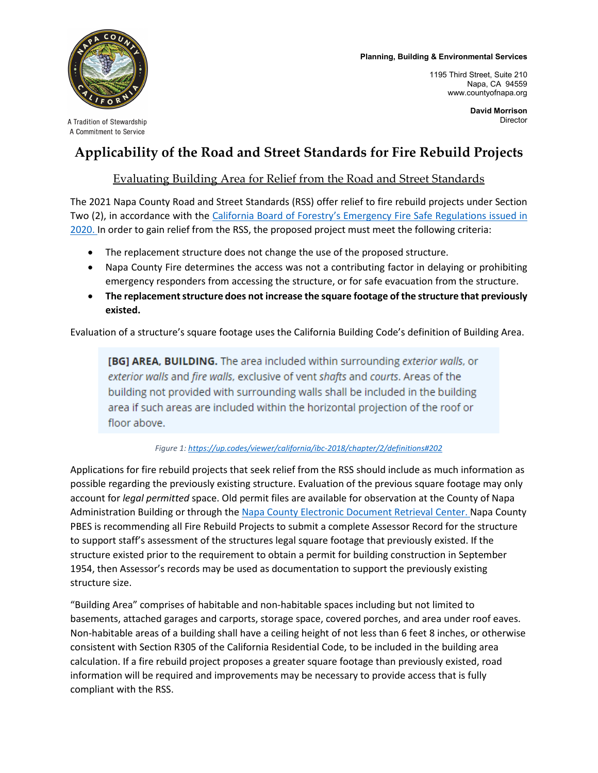## **Planning, Building & Environmental Services**



A Tradition of Stewardship A Commitment to Service

1195 Third Street, Suite 210 Napa, CA 94559 www.countyofnapa.org

## **Applicability of the Road and Street Standards for Fire Rebuild Projects**

## Evaluating Building Area for Relief from the Road and Street Standards

The 2021 Napa County Road and Street Standards (RSS) offer relief to fire rebuild projects under Section Two (2), in accordance with the [California Board of Forestry's Emergency Fire Safe Regulations issued in](https://bof.fire.ca.gov/media/10091/emergency-fire-safe-regulations-applicability-2020-0720-01er_approval.pdf)  [2020. I](https://bof.fire.ca.gov/media/10091/emergency-fire-safe-regulations-applicability-2020-0720-01er_approval.pdf)n order to gain relief from the RSS, the proposed project must meet the following criteria:

- The replacement structure does not change the use of the proposed structure.
- Napa County Fire determines the access was not a contributing factor in delaying or prohibiting emergency responders from accessing the structure, or for safe evacuation from the structure.
- **The replacement structure does not increase the square footage of the structure that previously existed.**

Evaluation of a structure's square footage uses the California Building Code's definition of Building Area.

[BG] AREA, BUILDING. The area included within surrounding exterior walls, or exterior walls and fire walls, exclusive of vent shafts and courts. Areas of the building not provided with surrounding walls shall be included in the building area if such areas are included within the horizontal projection of the roof or floor above.

*Figure 1:<https://up.codes/viewer/california/ibc-2018/chapter/2/definitions#202>*

Applications for fire rebuild projects that seek relief from the RSS should include as much information as possible regarding the previously existing structure. Evaluation of the previous square footage may only account for *legal permitted* space. Old permit files are available for observation at the County of Napa Administration Building or through the [Napa County Electronic Document Retrieval](https://www.countyofnapa.org/2474/Electronic-Document-Retrieval) Center. Napa County PBES is recommending all Fire Rebuild Projects to submit a complete Assessor Record for the structure to support staff's assessment of the structures legal square footage that previously existed. If the structure existed prior to the requirement to obtain a permit for building construction in September 1954, then Assessor's records may be used as documentation to support the previously existing structure size.

"Building Area" comprises of habitable and non-habitable spaces including but not limited to basements, attached garages and carports, storage space, covered porches, and area under roof eaves. Non-habitable areas of a building shall have a ceiling height of not less than 6 feet 8 inches, or otherwise consistent with Section R305 of the California Residential Code, to be included in the building area calculation. If a fire rebuild project proposes a greater square footage than previously existed, road information will be required and improvements may be necessary to provide access that is fully compliant with the RSS.